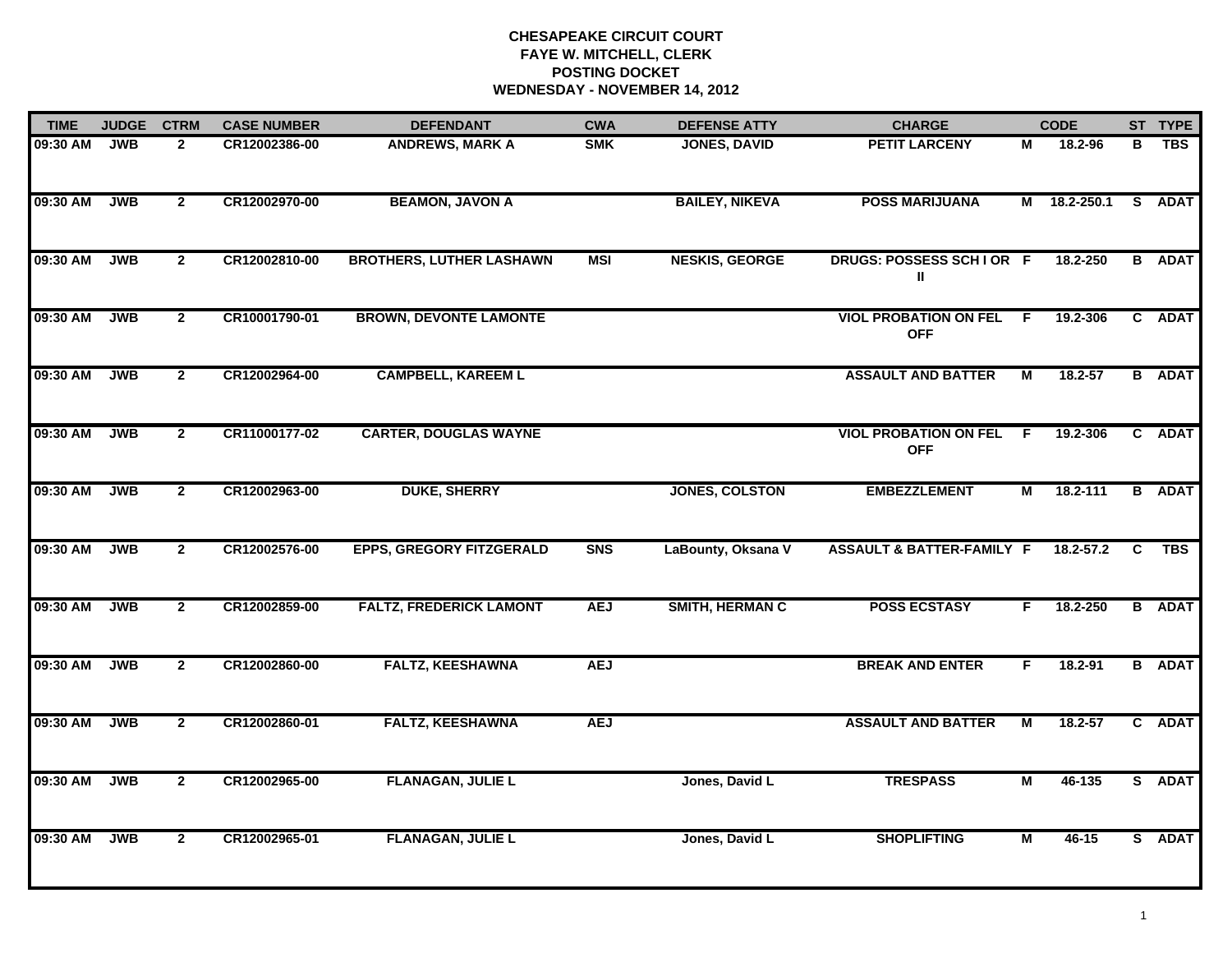## **CHESAPEAKE CIRCUIT COURT FAYE W. MITCHELL, CLERK POSTING DOCKETWEDNESDAY - NOVEMBER 14, 2012**

| <b>TIME</b> | <b>JUDGE</b> | <b>CTRM</b>    | <b>CASE NUMBER</b> | <b>DEFENDANT</b>                | <b>CWA</b>     | <b>DEFENSE ATTY</b>    | <b>CHARGE</b>                              |                | <b>CODE</b>   |   | ST TYPE       |
|-------------|--------------|----------------|--------------------|---------------------------------|----------------|------------------------|--------------------------------------------|----------------|---------------|---|---------------|
| 09:30 AM    | <b>JWB</b>   | $\mathbf{2}$   | CR12002386-00      | <b>ANDREWS, MARK A</b>          | <b>SMK</b>     | <b>JONES, DAVID</b>    | <b>PETIT LARCENY</b>                       | М              | 18.2-96       | в | <b>TBS</b>    |
| 09:30 AM    | <b>JWB</b>   | $\overline{2}$ | CR12002970-00      | <b>BEAMON, JAVON A</b>          |                | <b>BAILEY, NIKEVA</b>  | <b>POSS MARIJUANA</b>                      | М              | 18.2-250.1    |   | S ADAT        |
| 09:30 AM    | <b>JWB</b>   | $\overline{2}$ | CR12002810-00      | <b>BROTHERS, LUTHER LASHAWN</b> | <b>MSI</b>     | <b>NESKIS, GEORGE</b>  | <b>DRUGS: POSSESS SCHIOR F</b><br>Ш        |                | 18.2-250      |   | <b>B</b> ADAT |
| 09:30 AM    | <b>JWB</b>   | $\mathbf{2}$   | CR10001790-01      | <b>BROWN, DEVONTE LAMONTE</b>   |                |                        | <b>VIOL PROBATION ON FEL</b><br><b>OFF</b> | - F            | 19.2-306      |   | C ADAT        |
| 09:30 AM    | <b>JWB</b>   | $\mathbf{2}$   | CR12002964-00      | <b>CAMPBELL, KAREEM L</b>       |                |                        | <b>ASSAULT AND BATTER</b>                  | М              | $18.2 - 57$   |   | <b>B</b> ADAT |
| 09:30 AM    | <b>JWB</b>   | $\overline{2}$ | CR11000177-02      | <b>CARTER, DOUGLAS WAYNE</b>    |                |                        | <b>VIOL PROBATION ON FEL</b><br><b>OFF</b> | -F             | 19.2-306      |   | C ADAT        |
| 09:30 AM    | <b>JWB</b>   | $\overline{2}$ | CR12002963-00      | <b>DUKE, SHERRY</b>             |                | <b>JONES, COLSTON</b>  | <b>EMBEZZLEMENT</b>                        | М              | 18.2-111      | B | <b>ADAT</b>   |
| 09:30 AM    | <b>JWB</b>   | $\overline{2}$ | CR12002576-00      | <b>EPPS, GREGORY FITZGERALD</b> | S <sub>N</sub> | LaBounty, Oksana V     | <b>ASSAULT &amp; BATTER-FAMILY F</b>       |                | $18.2 - 57.2$ | C | <b>TBS</b>    |
| 09:30 AM    | <b>JWB</b>   | $\mathbf{2}$   | CR12002859-00      | <b>FALTZ, FREDERICK LAMONT</b>  | <b>AEJ</b>     | <b>SMITH, HERMAN C</b> | <b>POSS ECSTASY</b>                        | F.             | 18.2-250      |   | <b>B</b> ADAT |
| 09:30 AM    | <b>JWB</b>   | $\mathbf{2}$   | CR12002860-00      | <b>FALTZ, KEESHAWNA</b>         | <b>AEJ</b>     |                        | <b>BREAK AND ENTER</b>                     | F              | $18.2 - 91$   |   | <b>B</b> ADAT |
| 09:30 AM    | <b>JWB</b>   | $\mathbf{2}$   | CR12002860-01      | <b>FALTZ, KEESHAWNA</b>         | <b>AEJ</b>     |                        | <b>ASSAULT AND BATTER</b>                  | М              | 18.2-57       |   | C ADAT        |
| 09:30 AM    | <b>JWB</b>   | $\overline{2}$ | CR12002965-00      | <b>FLANAGAN, JULIE L</b>        |                | Jones, David L         | <b>TRESPASS</b>                            | $\overline{M}$ | 46-135        |   | S ADAT        |
| 09:30 AM    | <b>JWB</b>   | $\overline{2}$ | CR12002965-01      | <b>FLANAGAN, JULIE L</b>        |                | Jones, David L         | <b>SHOPLIFTING</b>                         | М              | 46-15         |   | S ADAT        |
|             |              |                |                    |                                 |                |                        |                                            |                |               |   |               |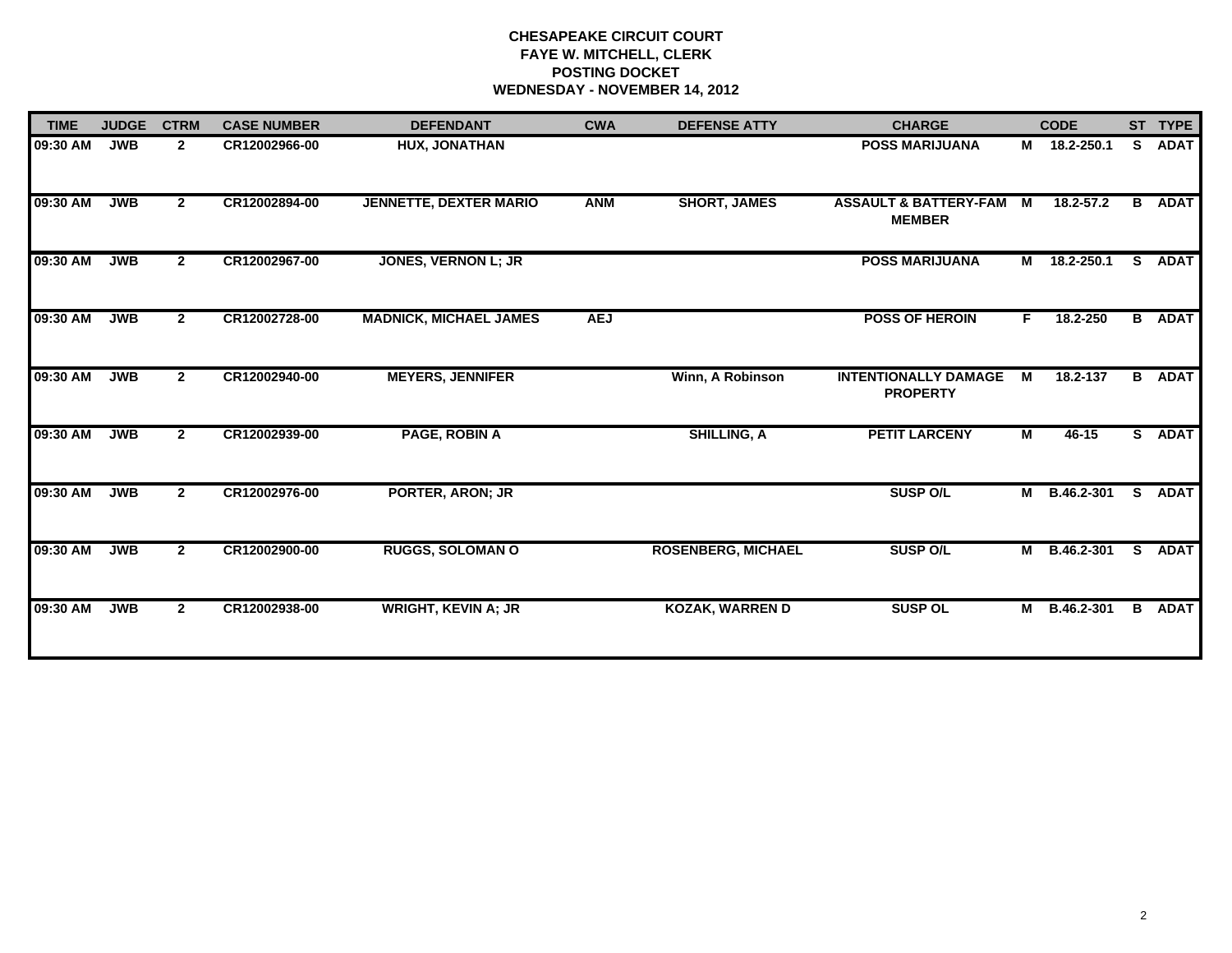# **CHESAPEAKE CIRCUIT COURT FAYE W. MITCHELL, CLERK POSTING DOCKET WEDNESDAY - NOVEMBER 14, 2012**

| <b>TIME</b> | <b>JUDGE</b> | <b>CTRM</b>    | <b>CASE NUMBER</b> | <b>DEFENDANT</b>              | <b>CWA</b> | <b>DEFENSE ATTY</b>       | <b>CHARGE</b>                                     |                | <b>CODE</b>   |    | ST TYPE     |
|-------------|--------------|----------------|--------------------|-------------------------------|------------|---------------------------|---------------------------------------------------|----------------|---------------|----|-------------|
| $09:30$ AM  | <b>JWB</b>   | $\mathbf{2}$   | CR12002966-00      | <b>HUX, JONATHAN</b>          |            |                           | <b>POSS MARIJUANA</b>                             |                | M 18.2-250.1  | S. | <b>ADAT</b> |
| 09:30 AM    | <b>JWB</b>   | $\mathbf{2}$   | CR12002894-00      | <b>JENNETTE, DEXTER MARIO</b> | <b>ANM</b> | <b>SHORT, JAMES</b>       | <b>ASSAULT &amp; BATTERY-FAM</b><br><b>MEMBER</b> | $\overline{M}$ | $18.2 - 57.2$ | B  | <b>ADAT</b> |
| 09:30 AM    | <b>JWB</b>   | $\overline{2}$ | CR12002967-00      | <b>JONES, VERNON L; JR</b>    |            |                           | <b>POSS MARIJUANA</b>                             | M              | 18.2-250.1    | S. | <b>ADAT</b> |
| 09:30 AM    | <b>JWB</b>   | $\overline{2}$ | CR12002728-00      | <b>MADNICK, MICHAEL JAMES</b> | <b>AEJ</b> |                           | <b>POSS OF HEROIN</b>                             | F.             | 18.2-250      | В  | <b>ADAT</b> |
| 09:30 AM    | <b>JWB</b>   | $\mathbf{2}$   | CR12002940-00      | <b>MEYERS, JENNIFER</b>       |            | Winn, A Robinson          | <b>INTENTIONALLY DAMAGE</b><br><b>PROPERTY</b>    | М              | 18.2-137      | B  | <b>ADAT</b> |
| 09:30 AM    | <b>JWB</b>   | $\mathbf{2}$   | CR12002939-00      | <b>PAGE, ROBIN A</b>          |            | <b>SHILLING, A</b>        | <b>PETIT LARCENY</b>                              | $\blacksquare$ | $46 - 15$     |    | S ADAT      |
| 09:30 AM    | <b>JWB</b>   | $\mathbf{2}$   | CR12002976-00      | <b>PORTER, ARON; JR</b>       |            |                           | <b>SUSP O/L</b>                                   | М              | B.46.2-301    | S. | <b>ADAT</b> |
| 09:30 AM    | <b>JWB</b>   | $\mathbf{2}$   | CR12002900-00      | <b>RUGGS, SOLOMAN O</b>       |            | <b>ROSENBERG, MICHAEL</b> | <b>SUSP O/L</b>                                   | М              | B.46.2-301    | S. | <b>ADAT</b> |
| 09:30 AM    | <b>JWB</b>   | $\overline{2}$ | CR12002938-00      | <b>WRIGHT, KEVIN A; JR</b>    |            | <b>KOZAK, WARREN D</b>    | <b>SUSP OL</b>                                    | M              | B.46.2-301    | B  | <b>ADAT</b> |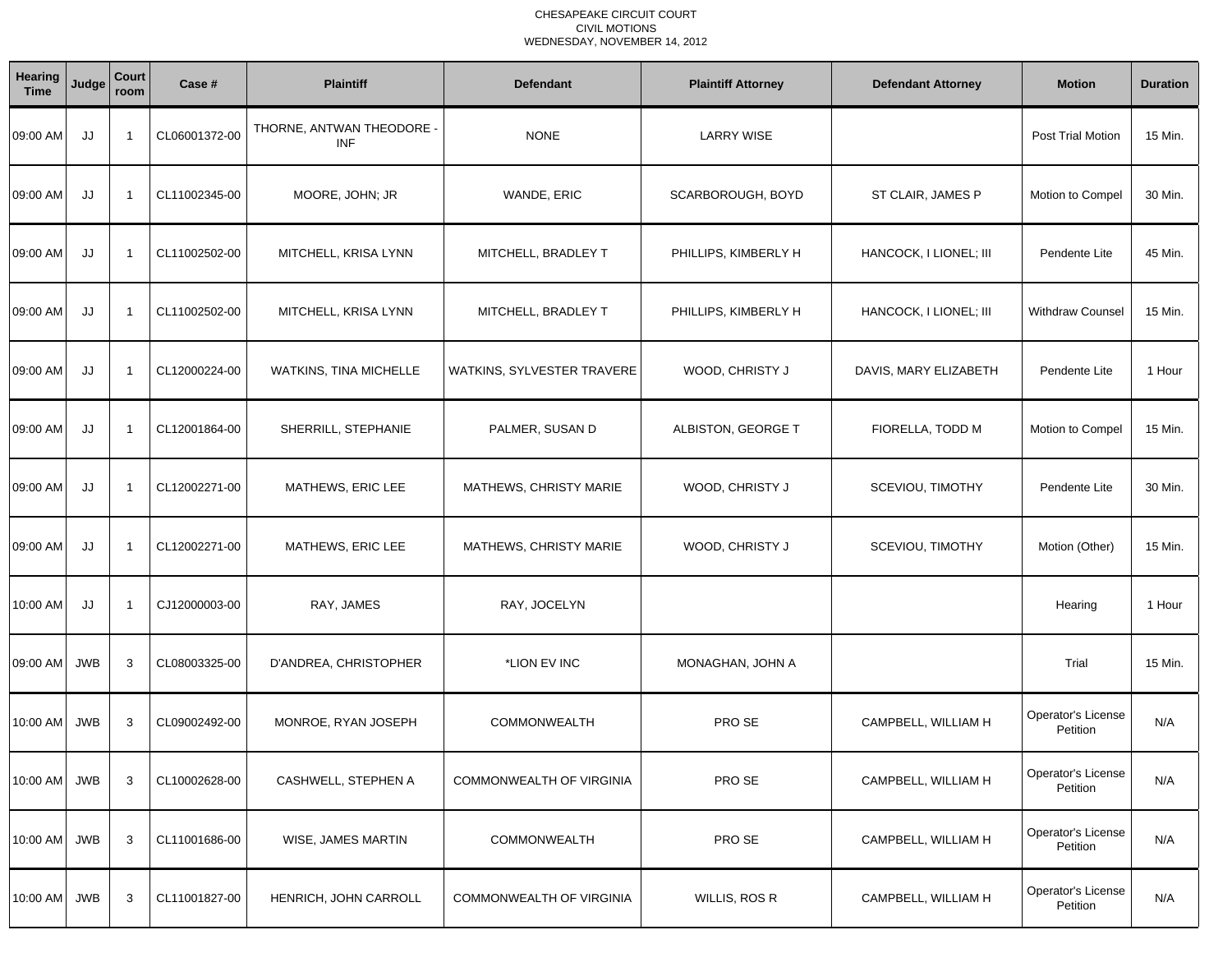| Hearing<br><b>Time</b> | Judge      | Court<br>room  | Case #        | <b>Plaintiff</b>                        | <b>Defendant</b>           | <b>Plaintiff Attorney</b> | <b>Defendant Attorney</b> | <b>Motion</b>                  | <b>Duration</b> |
|------------------------|------------|----------------|---------------|-----------------------------------------|----------------------------|---------------------------|---------------------------|--------------------------------|-----------------|
| 09:00 AM               | JJ         | -1             | CL06001372-00 | THORNE, ANTWAN THEODORE -<br><b>INF</b> | <b>NONE</b>                | <b>LARRY WISE</b>         |                           | <b>Post Trial Motion</b>       | 15 Min.         |
| 09:00 AM               | JJ         | $\overline{1}$ | CL11002345-00 | MOORE, JOHN; JR                         | WANDE, ERIC                | SCARBOROUGH, BOYD         | ST CLAIR, JAMES P         | Motion to Compel               | 30 Min.         |
| 09:00 AM               | JJ         | - 1            | CL11002502-00 | MITCHELL, KRISA LYNN                    | MITCHELL, BRADLEY T        | PHILLIPS, KIMBERLY H      | HANCOCK, I LIONEL; III    | Pendente Lite                  | 45 Min.         |
| 09:00 AM               | JJ         | $\overline{1}$ | CL11002502-00 | MITCHELL, KRISA LYNN                    | MITCHELL, BRADLEY T        | PHILLIPS, KIMBERLY H      | HANCOCK, I LIONEL; III    | <b>Withdraw Counsel</b>        | 15 Min.         |
| 09:00 AM               | JJ         | $\overline{1}$ | CL12000224-00 | WATKINS, TINA MICHELLE                  | WATKINS, SYLVESTER TRAVERE | WOOD, CHRISTY J           | DAVIS, MARY ELIZABETH     | Pendente Lite                  | 1 Hour          |
| 09:00 AM               | JJ         | $\overline{1}$ | CL12001864-00 | SHERRILL, STEPHANIE                     | PALMER, SUSAN D            | ALBISTON, GEORGE T        | FIORELLA, TODD M          | Motion to Compel               | 15 Min.         |
| 09:00 AM               | JJ         | $\overline{1}$ | CL12002271-00 | MATHEWS, ERIC LEE                       | MATHEWS, CHRISTY MARIE     | WOOD, CHRISTY J           | SCEVIOU, TIMOTHY          | Pendente Lite                  | 30 Min.         |
| 09:00 AM               | JJ         | $\overline{1}$ | CL12002271-00 | MATHEWS, ERIC LEE                       | MATHEWS, CHRISTY MARIE     | WOOD, CHRISTY J           | SCEVIOU, TIMOTHY          | Motion (Other)                 | 15 Min.         |
| 10:00 AM               | JJ         | $\overline{1}$ | CJ12000003-00 | RAY, JAMES                              | RAY, JOCELYN               |                           |                           | Hearing                        | 1 Hour          |
| 09:00 AM               | <b>JWB</b> | 3              | CL08003325-00 | D'ANDREA, CHRISTOPHER                   | *LION EV INC               | MONAGHAN, JOHN A          |                           | Trial                          | 15 Min.         |
| 10:00 AM               | <b>JWB</b> | 3              | CL09002492-00 | MONROE, RYAN JOSEPH                     | <b>COMMONWEALTH</b>        | PRO SE                    | CAMPBELL, WILLIAM H       | Operator's License<br>Petition | N/A             |
| 10:00 AM               | JWB        | 3              | CL10002628-00 | CASHWELL, STEPHEN A                     | COMMONWEALTH OF VIRGINIA   | PRO SE                    | CAMPBELL, WILLIAM H       | Operator's License<br>Petition | N/A             |
| 10:00 AM               | <b>JWB</b> | 3              | CL11001686-00 | WISE, JAMES MARTIN                      | COMMONWEALTH               | PRO SE                    | CAMPBELL, WILLIAM H       | Operator's License<br>Petition | N/A             |
| 10:00 AM               | <b>JWB</b> | $\mathbf{3}$   | CL11001827-00 | HENRICH, JOHN CARROLL                   | COMMONWEALTH OF VIRGINIA   | WILLIS, ROS R             | CAMPBELL, WILLIAM H       | Operator's License<br>Petition | N/A             |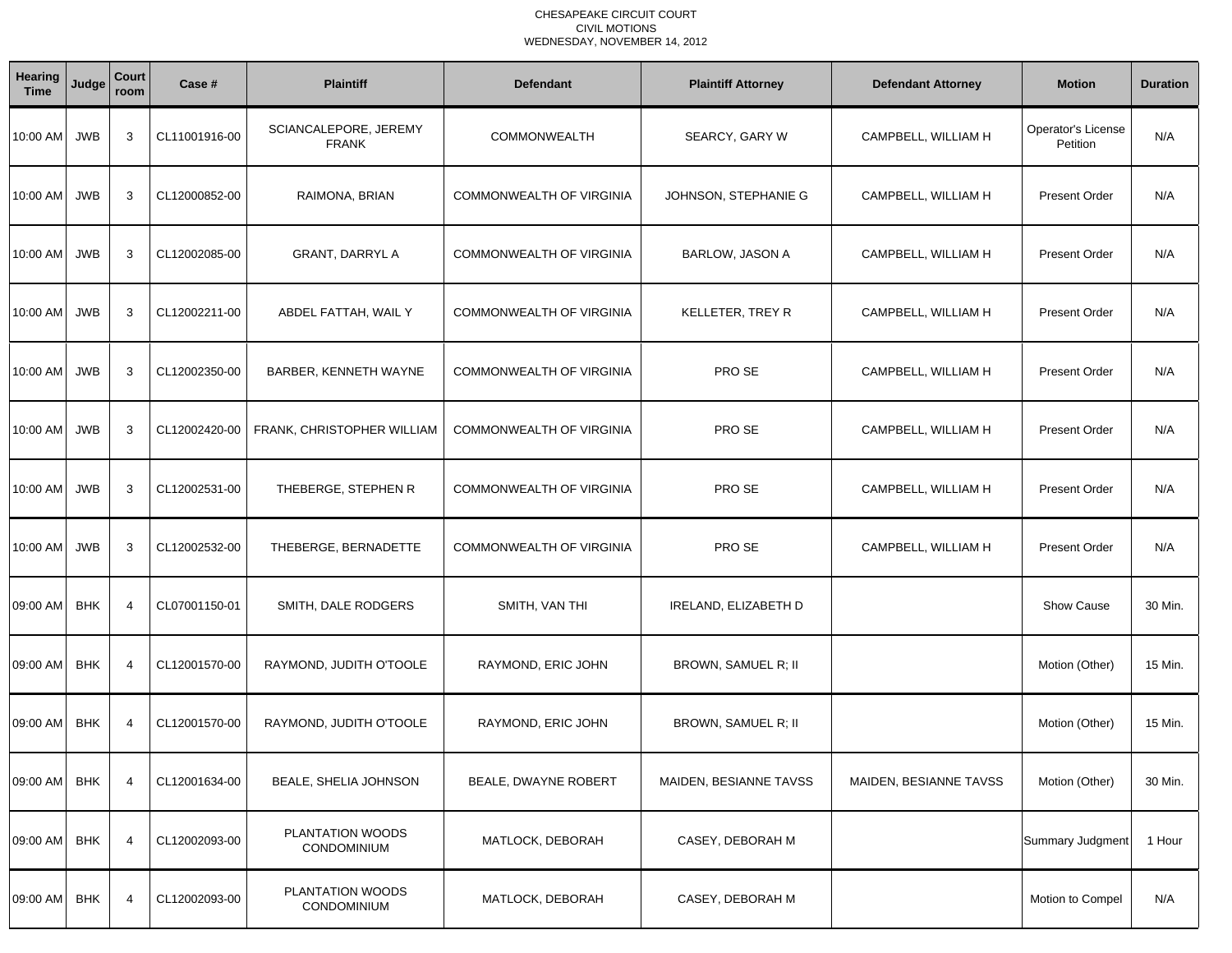| Hearing<br><b>Time</b> | Judge      | Court<br>room  | Case #        | <b>Plaintiff</b>                      | <b>Defendant</b>                | <b>Plaintiff Attorney</b> | <b>Defendant Attorney</b> | <b>Motion</b>                  | <b>Duration</b> |
|------------------------|------------|----------------|---------------|---------------------------------------|---------------------------------|---------------------------|---------------------------|--------------------------------|-----------------|
| 10:00 AM               | <b>JWB</b> | 3              | CL11001916-00 | SCIANCALEPORE, JEREMY<br><b>FRANK</b> | COMMONWEALTH                    | SEARCY, GARY W            | CAMPBELL, WILLIAM H       | Operator's License<br>Petition | N/A             |
| 10:00 AM               | <b>JWB</b> | 3              | CL12000852-00 | RAIMONA, BRIAN                        | COMMONWEALTH OF VIRGINIA        | JOHNSON, STEPHANIE G      | CAMPBELL, WILLIAM H       | <b>Present Order</b>           | N/A             |
| 10:00 AM               | <b>JWB</b> | 3              | CL12002085-00 | <b>GRANT, DARRYL A</b>                | COMMONWEALTH OF VIRGINIA        | <b>BARLOW, JASON A</b>    | CAMPBELL, WILLIAM H       | <b>Present Order</b>           | N/A             |
| 10:00 AM               | <b>JWB</b> | 3              | CL12002211-00 | ABDEL FATTAH, WAIL Y                  | COMMONWEALTH OF VIRGINIA        | <b>KELLETER, TREY R</b>   | CAMPBELL, WILLIAM H       | <b>Present Order</b>           | N/A             |
| 10:00 AM               | <b>JWB</b> | 3              | CL12002350-00 | BARBER, KENNETH WAYNE                 | COMMONWEALTH OF VIRGINIA        | PRO SE                    | CAMPBELL, WILLIAM H       | <b>Present Order</b>           | N/A             |
| 10:00 AM               | <b>JWB</b> | 3              | CL12002420-00 | FRANK, CHRISTOPHER WILLIAM            | <b>COMMONWEALTH OF VIRGINIA</b> | PRO SE                    | CAMPBELL, WILLIAM H       | <b>Present Order</b>           | N/A             |
| 10:00 AM               | <b>JWB</b> | 3              | CL12002531-00 | THEBERGE, STEPHEN R                   | COMMONWEALTH OF VIRGINIA        | PRO SE                    | CAMPBELL, WILLIAM H       | <b>Present Order</b>           | N/A             |
| 10:00 AM               | <b>JWB</b> | 3              | CL12002532-00 | THEBERGE, BERNADETTE                  | <b>COMMONWEALTH OF VIRGINIA</b> | PRO SE                    | CAMPBELL, WILLIAM H       | <b>Present Order</b>           | N/A             |
| 09:00 AM               | <b>BHK</b> | $\overline{4}$ | CL07001150-01 | SMITH, DALE RODGERS                   | SMITH, VAN THI                  | IRELAND, ELIZABETH D      |                           | <b>Show Cause</b>              | 30 Min.         |
| 09:00 AM               | <b>BHK</b> | $\overline{4}$ | CL12001570-00 | RAYMOND, JUDITH O'TOOLE               | RAYMOND, ERIC JOHN              | BROWN, SAMUEL R; II       |                           | Motion (Other)                 | 15 Min.         |
| 09:00 AM               | <b>BHK</b> | $\overline{4}$ | CL12001570-00 | RAYMOND, JUDITH O'TOOLE               | RAYMOND, ERIC JOHN              | BROWN, SAMUEL R; II       |                           | Motion (Other)                 | 15 Min.         |
| 09:00 AM               | <b>BHK</b> | 4              | CL12001634-00 | BEALE, SHELIA JOHNSON                 | BEALE, DWAYNE ROBERT            | MAIDEN, BESIANNE TAVSS    | MAIDEN, BESIANNE TAVSS    | Motion (Other)                 | 30 Min.         |
| 09:00 AM               | <b>BHK</b> | $\overline{4}$ | CL12002093-00 | PLANTATION WOODS<br>CONDOMINIUM       | MATLOCK, DEBORAH                | CASEY, DEBORAH M          |                           | Summary Judgment               | 1 Hour          |
| 09:00 AM               | <b>BHK</b> | $\overline{4}$ | CL12002093-00 | PLANTATION WOODS<br>CONDOMINIUM       | MATLOCK, DEBORAH                | CASEY, DEBORAH M          |                           | Motion to Compel               | N/A             |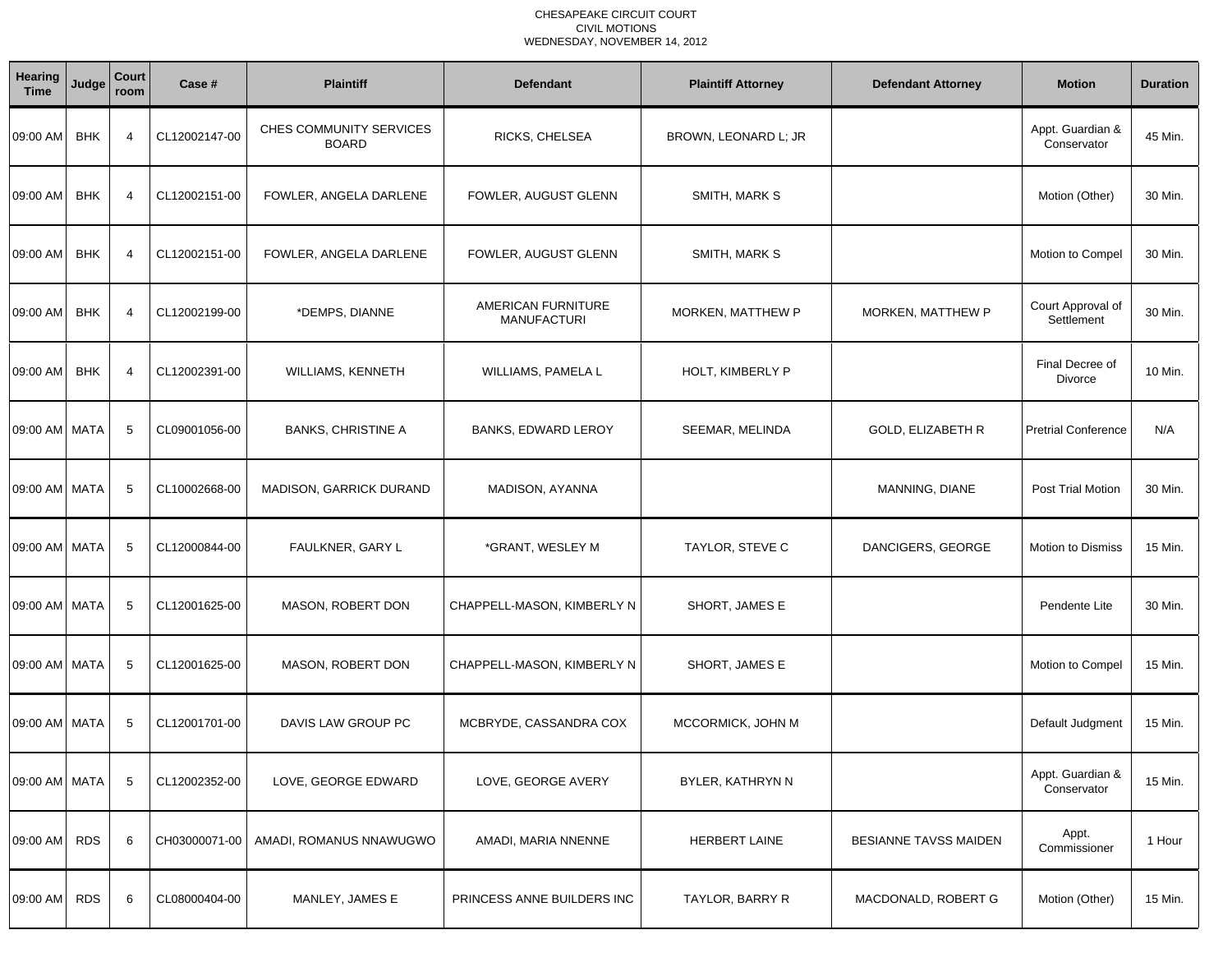| <b>Hearing</b><br><b>Time</b> | Judge      | <b>Court</b><br>room | Case #        | <b>Plaintiff</b>                        | <b>Defendant</b>                         | <b>Plaintiff Attorney</b> | <b>Defendant Attorney</b> | <b>Motion</b>                     | <b>Duration</b> |
|-------------------------------|------------|----------------------|---------------|-----------------------------------------|------------------------------------------|---------------------------|---------------------------|-----------------------------------|-----------------|
| 09:00 AM                      | <b>BHK</b> | $\overline{4}$       | CL12002147-00 | CHES COMMUNITY SERVICES<br><b>BOARD</b> | RICKS, CHELSEA                           | BROWN, LEONARD L; JR      |                           | Appt. Guardian &<br>Conservator   | 45 Min.         |
| 09:00 AM                      | <b>BHK</b> | $\overline{4}$       | CL12002151-00 | FOWLER, ANGELA DARLENE                  | FOWLER, AUGUST GLENN                     | SMITH, MARK S             |                           | Motion (Other)                    | 30 Min.         |
| 09:00 AM                      | <b>BHK</b> | $\overline{4}$       | CL12002151-00 | FOWLER, ANGELA DARLENE                  | FOWLER, AUGUST GLENN                     | SMITH, MARK S             |                           | Motion to Compel                  | 30 Min.         |
| 09:00 AM                      | <b>BHK</b> | $\overline{4}$       | CL12002199-00 | *DEMPS, DIANNE                          | AMERICAN FURNITURE<br><b>MANUFACTURI</b> | <b>MORKEN, MATTHEW P</b>  | MORKEN, MATTHEW P         | Court Approval of<br>Settlement   | 30 Min.         |
| 09:00 AM                      | <b>BHK</b> | $\overline{4}$       | CL12002391-00 | WILLIAMS, KENNETH                       | WILLIAMS, PAMELA L                       | HOLT, KIMBERLY P          |                           | Final Decree of<br><b>Divorce</b> | 10 Min.         |
| 09:00 AM   MATA               |            | 5                    | CL09001056-00 | <b>BANKS, CHRISTINE A</b>               | <b>BANKS, EDWARD LEROY</b>               | SEEMAR, MELINDA           | <b>GOLD, ELIZABETH R</b>  | <b>Pretrial Conference</b>        | N/A             |
| 09:00 AM   MATA               |            | 5                    | CL10002668-00 | MADISON, GARRICK DURAND                 | MADISON, AYANNA                          |                           | MANNING, DIANE            | <b>Post Trial Motion</b>          | 30 Min.         |
| 09:00 AM   MATA               |            | 5                    | CL12000844-00 | FAULKNER, GARY L                        | *GRANT, WESLEY M                         | TAYLOR, STEVE C           | DANCIGERS, GEORGE         | Motion to Dismiss                 | 15 Min.         |
| 09:00 AM   MATA               |            | 5                    | CL12001625-00 | MASON, ROBERT DON                       | CHAPPELL-MASON, KIMBERLY N               | SHORT, JAMES E            |                           | Pendente Lite                     | 30 Min.         |
| 09:00 AM MATA                 |            | 5                    | CL12001625-00 | MASON, ROBERT DON                       | CHAPPELL-MASON, KIMBERLY N               | SHORT, JAMES E            |                           | Motion to Compel                  | 15 Min.         |
| 09:00 AM   MATA               |            | 5                    | CL12001701-00 | DAVIS LAW GROUP PC                      | MCBRYDE, CASSANDRA COX                   | MCCORMICK, JOHN M         |                           | Default Judgment                  | 15 Min.         |
| 09:00 AM MATA                 |            | 5                    | CL12002352-00 | LOVE, GEORGE EDWARD                     | LOVE, GEORGE AVERY                       | BYLER, KATHRYN N          |                           | Appt. Guardian &<br>Conservator   | 15 Min.         |
| 09:00 AM                      | <b>RDS</b> | 6                    | CH03000071-00 | AMADI, ROMANUS NNAWUGWO                 | AMADI, MARIA NNENNE                      | <b>HERBERT LAINE</b>      | BESIANNE TAVSS MAIDEN     | Appt.<br>Commissioner             | 1 Hour          |
| 09:00 AM                      | <b>RDS</b> | 6                    | CL08000404-00 | MANLEY, JAMES E                         | PRINCESS ANNE BUILDERS INC               | TAYLOR, BARRY R           | MACDONALD, ROBERT G       | Motion (Other)                    | 15 Min.         |